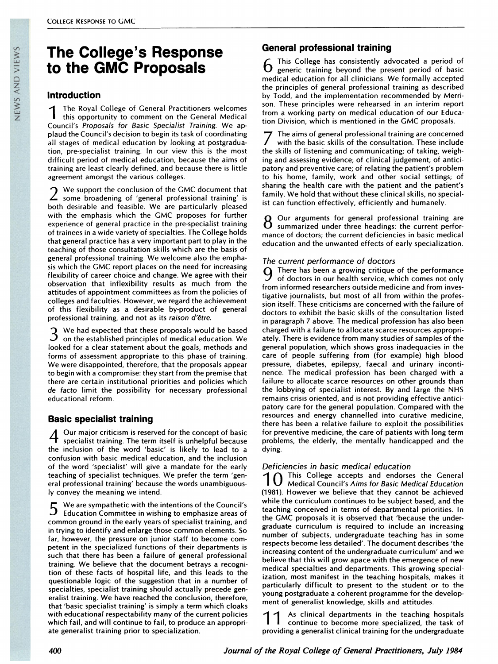# Introduction

The Royal College of General Practitioners welcomes this opportunity to comment on the General Medical Council's Proposals for Basic Specialist Training. We applaud the Council's decision to begin its task of coordinating all stages of medical education by looking at postgraduation, pre-specialist training. In our view this is the most difficult period of medical education, because the aims of training are least clearly defined, and because there is little agreement amongst the various colleges.

We support the conclusion of the GMC document that 2 some broadening of 'general professional training' is both desirable and feasible. We are particularly pleased with the emphasis which the GMC proposes for further experience of general practice in the pre-specialist training of trainees in a wide variety of specialties. The College holds that general practice has a very important part to play in the teaching of those consultation skills which are the basis of general professional training. We welcome also the emphasis which the GMC report places on the need for increasing flexibility of career choice and change. We agree with their observation that inflexibility results as much from the attitudes of appointment committees as from the policies of colleges and faculties. However, we regard the achievement of this flexibility as a desirable by-product of general professional training, and not as its raison <sup>d</sup>'etre.

 $3$  We had expected that these proposals would be based on the established principles of medical education. We on the established principles of medical education. We looked for a clear statement about the goals, methods and forms of assessment appropriate to this phase of training. We were disappointed, therefore, that the proposals appear to begin with a compromise: they start from the premise that there are certain institutional priorities and policies which de facto limit the possibility for necessary professional educational reform.

# Basic specialist training

Our major criticism is reserved for the concept of basic specialist training. The term itself is unhelpful because the inclusion of the word 'basic' is likely to lead to a confusion with basic medical education, and the inclusion of the word 'specialist' will give a mandate for the early teaching of specialist techniques. We prefer the term 'general professional training' because the words unambiguously convey the meaning we intend.

We are sympathetic with the intentions of the Council's 5 Education Committee in wishing to emphasize areas of common ground in the early years of specialist training, and in trying to identify and enlarge those common elements. So far, however, the pressure on junior staff to become competent in the specialized functions of their departments is such that there has been a failure of general professional training. We believe that the document betrays <sup>a</sup> recognition of these facts of hospital life, and this leads to the questionable logic of the suggestion that in a number of specialties, specialist training should actually precede generalist training. We have reached the conclusion, therefore, that 'basic specialist training' is simply a term which cloaks with educational respectability many of the current policies which fail, and will continue to fail, to produce an appropriate generalist training prior to specialization.

# General professional training

This College has consistently advocated a period of h generic training beyond the present period of basic medical education for all clinicians. We formally accepted the principles of general professional training as described by Todd, and the implementation recommended by Merrison. These principles were rehearsed in an interim report from a working party on medical education of our Education Division, which is mentioned in the GMC proposals.

7 The aims of general professional training are concerned with the basic skills of the consultation. These include the skills of listening and communicating; of taking, weighing and assessing evidence; of clinical judgement; of anticipatory and preventive care; of relating the patient's problem to his home, family, work and other social settings; of sharing the health care with the patient and the patient's family. We hold that without these clinical skills, no specialist can function effectively, efficiently and humanely.

Our arguments for general professional training are Ŏ summarized under three headings: the current performance of doctors; the current deficiencies in basic medical education and the unwanted effects of early specialization.

### The current performance of doctors

There has been a growing critique of the performance 9 of doctors in our health service, which comes not only from informed researchers outside medicine and from investigative journalists, but most of all from within the profession itself. These criticisms are concerned with the failure of doctors to exhibit the basic skills of the consultation listed in paragraph 7 above. The medical profession has also been charged with a failure to allocate scarce resources appropriately. There is evidence from many studies of samples of the general population, which shows gross inadequacies in the care of people suffering from (for example) high blood pressure, diabetes, epilepsy, faecal and urinary incontinence. The medical profession has been charged with a failure to allocate scarce resources on other grounds than the lobbying of specialist interest. By and large the NHS remains crisis oriented, and is not providing effective anticipatory care for the general population. Compared with the resources and energy channelled into curative medicine, there has been a relative failure to exploit the possibilities for preventive medicine, the care of patients with long term problems, the elderly, the mentally handicapped and the dying.

### Deficiencies in basic medical education

This College accepts and endorses the General Medical Council's Aims for Basic Medical Education (1981). However we believe that they cannot be achieved while the curriculum continues to be subject based, and the teaching conceived in terms of departmental priorities. In the GMC proposals it is observed that 'because the undergraduate curriculum is required to include an increasing number of subjects, undergraduate teaching has in some respects become less detailed'. The document describes 'the increasing content of the undergraduate curriculum' and we believe that this will grow apace with the emergence of new medical specialties and departments. This growing specialization, most manifest in the teaching hospitals, makes it particularly difficult to present to the student or to the young postgraduate a coherent programme for the development of generalist knowledge, skills and attitudes.

As clinical departments in the teaching hospitals continue to become more specialized, the task of providing a generalist clinical training for the undergraduate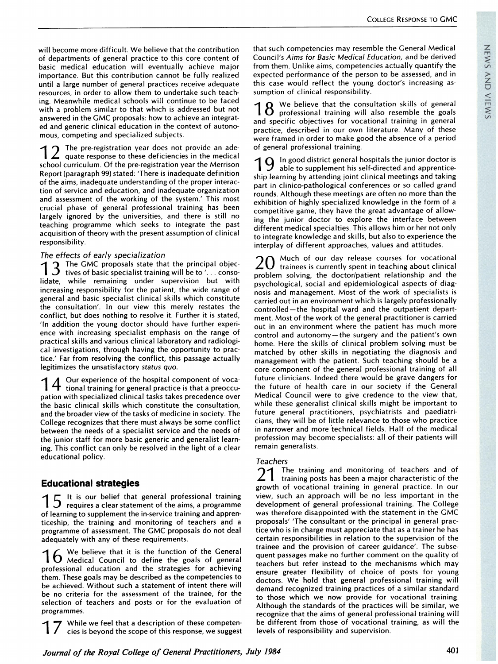will become more difficult. We believe that the contribution of departments of general practice to this core content of basic medical education will eventually achieve major importance. But this contribution cannot be fully realized until a large number of general practices receive adequate resources, in order to allow them to undertake such teaching. Meanwhile medical schools will continue to be faced with a problem similar to that which is addressed but not answered in the GMC proposals: how to achieve an integrated and generic clinical education in the context of autonomous, competing and specialized subjects.

1 2 The pre-registration year does not provide an ade-<br>1 2 quate response to these deficiencies in the medical school curriculum. Of the pre-registration year the Merrison Report (paragraph 99) stated: 'There is inadequate definition of the aims, inadequate understanding of the proper interaction of service and education, and inadequate organization and assessment of the working of the system.' This most crucial phase of general professional training has been largely ignored by the universities, and there is still no teaching programme which seeks to integrate the past acquisition of theory with the present assumption of clinical responsibility.

#### The effects of early specialization

The GMC proposals state that the principal objectives of basic specialist training will be to '... consolidate, while remaining under supervision but with increasing responsibility for the patient, the wide range of general and basic specialist clinical skills which constitute the consultation'. In our view this merely restates the conflict, but does nothing to resolve it. Further it is stated, 'In addition the young doctor should have further experience with increasing specialist emphasis on the range of practical skills and various clinical laboratory and radiological investigations, through having the opportunity to practice.' Far from resolving the conflict, this passage actually legitimizes the unsatisfactory status quo.

14 Our experience of the hospital component of voca-<br>14 tional training for general practice is that a preoccupation with specialized clinical tasks takes precedence over the basic clinical skills which constitute the consultation, and the broader view of the tasks of medicine in society. The College recognizes that there must always be some conflict between the needs of a specialist service and the needs of the junior staff for more basic generic and generalist learning. This conflict can only be resolved in the light of a clear educational policy.

# Educational strategies

It is our belief that general professional training requires a clear statement of the aims, a programme of learning to supplement the in-service training and apprenticeship, the training and monitoring of teachers and a programme of assessment. The GMC proposals do not deal adequately with any of these requirements.

We believe that it is the function of the General 16 We believe that it is the team goals of general professional education and the strategies for achieving them. These goals may be described as the competencies to be achieved. Without such a statement of intent there will be no criteria for the assessment of the trainee, for the selection of teachers and posts or for the evaluation of programmes.

While we feel that a description of these competencies is beyond the scope of this response, we suggest that such competencies may resemble the General Medical Council's Aims for Basic Medical Education, and be derived from them. Unlike aims, competencies actually quantify the expected performance of the person to be assessed, and in this case would reflect the young doctor's increasing assumption of clinical responsibility.

We believe that the consultation skills of general **b** we believe that the consumence that the goals and specific objectives for vocational training in general practice, described in our own literature. Many of these were framed in order to make good the absence of a period of general professional training.

In good district general hospitals the junior doctor is able to supplement his self-directed and apprenticeship learning by attending joint clinical meetings and taking part in clinico-pathological conferences or so called grand rounds. Although these meetings are often no more than the exhibition of highly specialized knowledge in the form of a competitive game, they have the great advantage of allowing the junior doctor to explore the interface between different medical specialties. This allows him or her not only to integrate knowledge and skills, but also to experience the interplay of different approaches, values and attitudes.

Much of our day release courses for vocational trainees is currently spent in teaching about clinical problem solving, the doctor/patient relationship and the psychological, social and epidemiological aspects of diagnosis and management. Most of the work of specialists is carried out in an environment which is largely professionally controlled-the hospital ward and the outpatient department. Most of the work of the general practitioner is carried out in an environment where the patient has much more control and autonomy-the surgery and the patient's own home. Here the skills of clinical problem solving must be matched by other skills in negotiating the diagnosis and management with the patient. Such teaching should be a core component of the generaj professional training of all future clinicians. Indeed there would be grave dangers for the future of health care in our society if the General Medical Council were to give credence to the view that, while these generalist clinical skills might be important to future general practitioners, psychiatrists and paediatricians, they will be of little relevance to those who practice in narrower and more technical fields. Half of the medical profession may become specialists: all of their patients will remain generalists.

### **Teachers**

The training and monitoring of teachers and of training posts has been a major characteristic of the growth of vocational training in general practice. In our view, such an approach will be no less important in the development of general professional training. The College was therefore disappointed with the statement in the GMC proposals' 'The consultant or the principal in general practice who is in charge must appreciate that as a trainer he has certain responsibilities in relation to the supervision of the trainee and the provision of career guidance'. The subsequent passages make no further comment on the quality of teachers but refer instead to the mechanisms which may ensure greater flexibility of choice of posts for young doctors. We hold that general professional training will demand recognized training practices of a similar standard to those which we now provide for vocational training. Although the standards of the practices will be similar, we recognize that the aims of general professional training will be different from those of vocational training, as will the levels of responsibility and supervision.